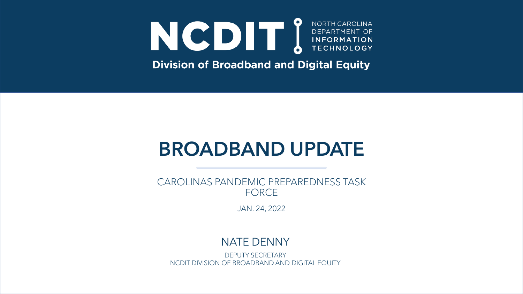# NOCE DEPARTMENT OF DEPARTMENT OF INFORMATION NORTH CAROLINA

**Division of Broadband and Digital Equity** 

# **BROADBAND UPDATE**

CAROLINAS PANDEMIC PREPAREDNESS TASK FORCE

JAN. 24, 2022

#### NATE DENNY

DEPUTY SECRETARY NCDIT DIVISION OF BROADBAND AND DIGITAL EQUITY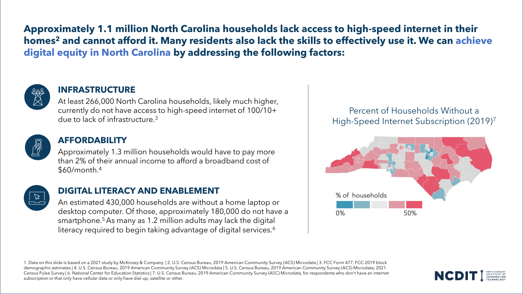**Approximately 1.1 million North Carolina households lack access to high-speed internet in their homes<sup>2</sup> and cannot afford it. Many residents also lack the skills to effectively use it. We can achieve digital equity in North Carolina by addressing the following factors:**



#### **INFRASTRUCTURE**

due to lack of infrastructure.<sup>3</sup> At least 266,000 North Carolina households, likely much higher, currently do not have access to high-speed internet of 100/10+



#### **AFFORDABILITY**

Approximately 1.3 million households would have to pay more than 2% of their annual income to afford a broadband cost of \$60/month.<sup>4</sup>



#### **DIGITAL LITERACY AND ENABLEMENT**

An estimated 430,000 households are without a home laptop or desktop computer. Of those, approximately 180,000 do not have a smartphone.<sup>5</sup> As many as 1.2 million adults may lack the digital literacy required to begin taking advantage of digital services.<sup>6</sup>

Percent of Households Without a High-Speed Internet Subscription (2019)<sup>7</sup>



1. Data on this slide is based on a 2021 study by McKinsey & Company. | 2. U.S. Census Bureau, 2019 American Community Survey (ACS) Microdata | 3. FCC Form 477, FCC 2019 block demographic estimates | 4. U.S. Census Bureau, 2019 American Community Survey (ACS) Microdata | 5. U.S. Census Bureau, 2019 American Community Survey (ACS) Microdata; 2021 Census Pulse Survey | 6. National Center for Education Statistics | 7. U.S. Census Bureau, 2019 American Community Survey (ASC) Microdata, for respondents who don't have an internet subscription or that only have cellular data or only have dial-up, satellite or other.

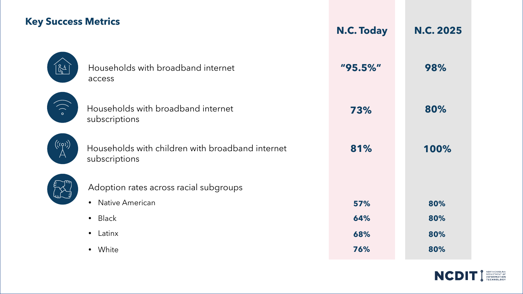### **Key Success Metrics**

|                         |                                                                   | <b>N.C. Today</b> | <b>N.C. 2025</b> |
|-------------------------|-------------------------------------------------------------------|-------------------|------------------|
| $\mathbb{R}^4$          | Households with broadband internet<br>access                      | "95.5%"           | 98%              |
| $\binom{1}{0}$          | Households with broadband internet<br>subscriptions               | 73%               | 80%              |
| $\bigl((\varphi)\bigr)$ | Households with children with broadband internet<br>subscriptions | 81%               | 100%             |
|                         | Adoption rates across racial subgroups                            |                   |                  |
|                         | <b>Native American</b><br>$\bullet$                               | 57%               | 80%              |
|                         | <b>Black</b><br>$\bullet$                                         | 64%               | 80%              |
|                         | Latinx<br>$\bullet$                                               | 68%               | 80%              |
|                         | White<br>$\bullet$                                                | 76%               | 80%              |
|                         |                                                                   |                   |                  |

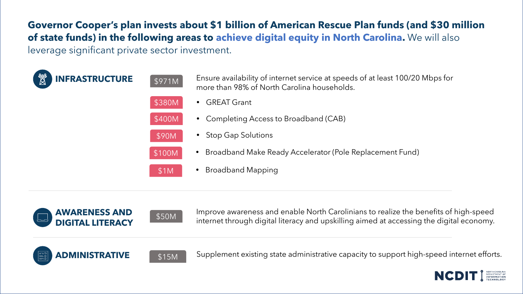**Governor Cooper's plan invests about \$1 billion of American Rescue Plan funds (and \$30 million of state funds) in the following areas to achieve digital equity in North Carolina.** We will also leverage significant private sector investment.

| 赞<br><b>INFRASTRUCTURE</b> | \$971M | Ensure availability of internet service at speeds of at least 100/20 Mbps for<br>more than 98% of North Carolina households. |
|----------------------------|--------|------------------------------------------------------------------------------------------------------------------------------|
|                            | \$380M | <b>GREAT Grant</b>                                                                                                           |
|                            | \$400M | • Completing Access to Broadband (CAB)                                                                                       |
|                            | \$90M  | <b>Stop Gap Solutions</b>                                                                                                    |
|                            | \$100M | Broadband Make Ready Accelerator (Pole Replacement Fund)<br>$\bullet$                                                        |
|                            | \$1M   | <b>Broadband Mapping</b>                                                                                                     |
|                            |        |                                                                                                                              |





Improve awareness and enable North Carolinians to realize the benefits of high-speed internet through digital literacy and upskilling aimed at accessing the digital economy. \$50M **AWARENESS AND** 





**ADMINISTRATIVE**  $\left[ \begin{array}{c} \frac{1}{315M} \end{array} \right]$  Supplement existing state administrative capacity to support high-speed internet efforts.